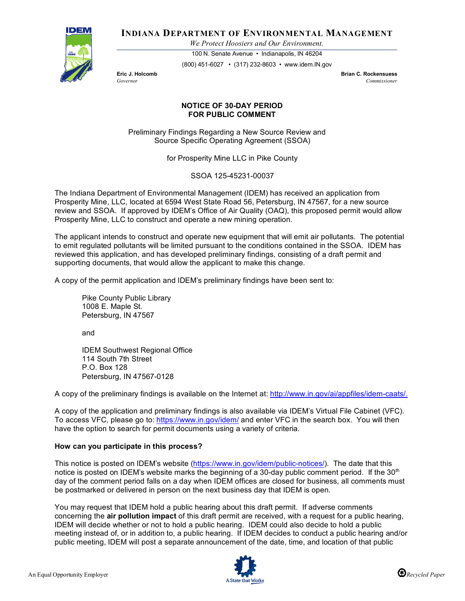

# **INDIANA DEPARTMENT OF ENVIRONMENTAL MANAGEMENT**

*We Protect Hoosiers and Our Environment.*

100 N. Senate Avenue • Indianapolis, IN 46204

(800) 451-6027 • (317) 232-8603 • www.idem.IN.gov

**Eric J. Holcomb Exercise Exercise Exercise Exercise Exercise Exercise Exercise Exercise Exercise Commissioner**<br>Commissioner *Governor Commissioner* 

## **NOTICE OF 30-DAY PERIOD FOR PUBLIC COMMENT**

Preliminary Findings Regarding a New Source Review and Source Specific Operating Agreement (SSOA)

for Prosperity Mine LLC in Pike County

SSOA 125-45231-00037

The Indiana Department of Environmental Management (IDEM) has received an application from Prosperity Mine, LLC, located at 6594 West State Road 56, Petersburg, IN 47567, for a new source review and SSOA. If approved by IDEM's Office of Air Quality (OAQ), this proposed permit would allow Prosperity Mine, LLC to construct and operate a new mining operation.

The applicant intends to construct and operate new equipment that will emit air pollutants. The potential to emit regulated pollutants will be limited pursuant to the conditions contained in the SSOA. IDEM has reviewed this application, and has developed preliminary findings, consisting of a draft permit and supporting documents, that would allow the applicant to make this change.

A copy of the permit application and IDEM's preliminary findings have been sent to:

Pike County Public Library 1008 E. Maple St. Petersburg, IN 47567

and

IDEM Southwest Regional Office 114 South 7th Street P.O. Box 128 Petersburg, IN 47567-0128

A copy of the preliminary findings is available on the Internet at[: http://www.in.gov/ai/appfiles/idem-caats/.](http://www.in.gov/ai/appfiles/idem-caats/)

A copy of the application and preliminary findings is also available via IDEM's Virtual File Cabinet (VFC). To access VFC, please go to:<https://www.in.gov/idem/> and enter VFC in the search box. You will then have the option to search for permit documents using a variety of criteria.

## **How can you participate in this process?**

This notice is posted on IDEM's website [\(https://www.in.gov/idem/public-notices/\)](https://www.in.gov/idem/public-notices/). The date that this notice is posted on IDEM's website marks the beginning of a 30-day public comment period. If the 30<sup>th</sup> day of the comment period falls on a day when IDEM offices are closed for business, all comments must be postmarked or delivered in person on the next business day that IDEM is open.

You may request that IDEM hold a public hearing about this draft permit. If adverse comments concerning the **air pollution impact** of this draft permit are received, with a request for a public hearing, IDEM will decide whether or not to hold a public hearing. IDEM could also decide to hold a public meeting instead of, or in addition to, a public hearing. If IDEM decides to conduct a public hearing and/or public meeting, IDEM will post a separate announcement of the date, time, and location of that public